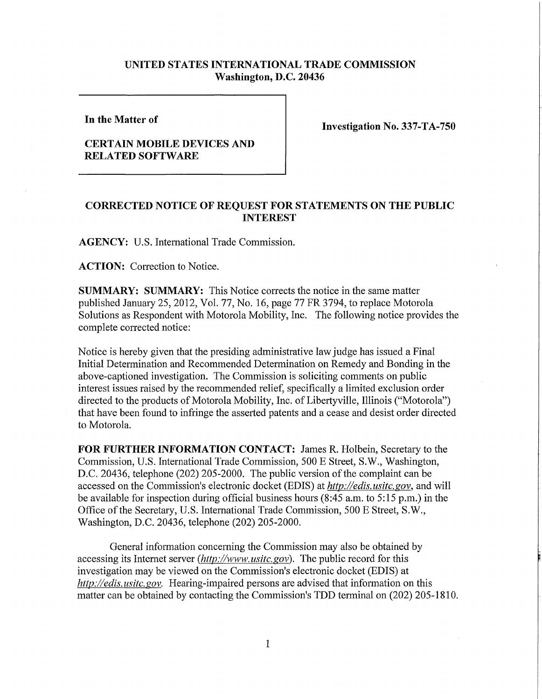## **UNITED STATES INTERNATIONAL TRADE COMMISSION Washington, D.C. 20436**

**In the Matter of** 

**CERTAIN MOBILE DEVICES AND RELATED SOFTWARE** 

**Investigation No. 337-TA-750** 

## **CORRECTED NOTICE OF REQUEST FOR STATEMENTS ON THE PUBLIC INTEREST**

**AGENCY:** U.S. International Trade Commission.

**ACTION:** Correction to Notice.

**SUMMARY: SUMMARY:** This Notice corrects the notice in the same matter published January 25, 2012, Vol. 77, No. 16, page 77 FR 3794, to replace Motorola Solutions as Respondent with Motorola Mobility, Inc. The following notice provides the complete corrected notice:

Notice is hereby given that the presiding administrative law judge has issued a Final Initial Determination and Recommended Determination on Remedy and Bonding in the above-captioned investigation. The Commission is soliciting comments on public interest issues raised by the recommended relief, specifically a limited exclusion order directed to the products of Motorola Mobility, Inc. of Libertyville, Illinois ("Motorola") that have been found to infringe the asserted patents and a cease and desist order directed to Motorola.

**FOR FURTHER INFORMATION CONTACT:** James R. Holbein, Secretary to the Commission, U.S. International Trade Commission, 500 E Street, S.W., Washington, D.C. 20436, telephone (202) 205-2000. The public version of the complaint can be accessed on the Commission's electronic docket (EDIS) at *http://edis. usitc. gov,* and will be available for inspection during official business hours (8:45 a.m. to 5:15 p.m.) in the Office of the Secretary, U.S. International Trade Commission, 500 E Street, S.W., Washington, D.C. 20436, telephone (202) 205-2000.

General information concerning the Commission may also be obtained by accessing its Internet server *(http://www, usitc.gov).* The public record for this investigation may be viewed on the Commission's electronic docket (EDIS) at *http://edis. usitc. gov.* Hearing-impaired persons are advised that information on this matter can be obtained by contacting the Commission's TDD terminal on (202) 205-1810.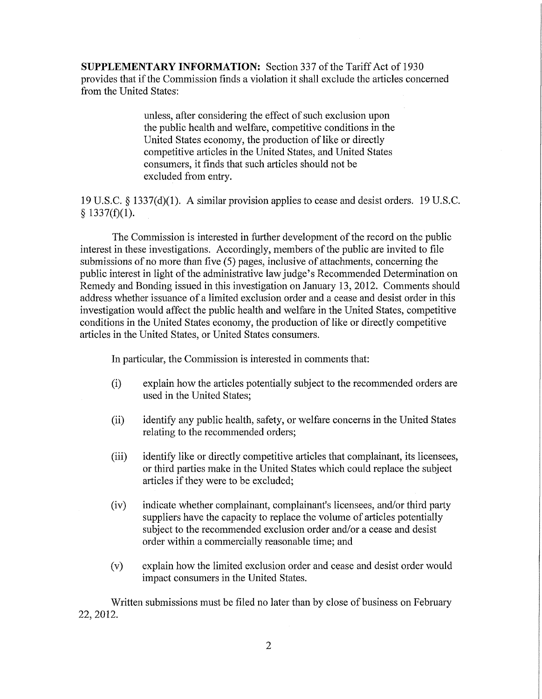**SUPPLEMENTARY INFORMATION:** Section 337 ofthe Tariff Act of 1930 provides that if the Commission finds a violation it shall exclude the articles concerned from the United States:

> unless, after considering the effect of such exclusion upon the public health and welfare, competitive conditions in the United States economy, the production of like or directly competitive articles in the United States, and United States consumers, it finds that such articles should not be excluded from entry.

19 U.S.C. § 1337(d)(1). A similar provision applies to cease and desist orders. 19 U.S.C.  $§$  1337(f)(1).

The Commission is interested in further development of the record on the public interest in these investigations. Accordingly, members of the public are invited to file submissions of no more than five (5) pages, inclusive of attachments, concerning the public interest in light of the administrative law judge's Recommended Determination on Remedy and Bonding issued in this investigation on January 13, 2012. Comments should address whether issuance of a limited exclusion order and a cease and desist order in this investigation would affect the public health and welfare in the United States, competitive conditions in the United States economy, the production of like or directly competitive articles in the United States, or United States consumers.

In particular, the Commission is interested in comments that:

- (i) explain how the articles potentially subject to the recommended orders are used in the United States;
- (ii) identify any public health, safety, or welfare concerns in the United States relating to the recommended orders;
- (iii) identify like or directly competitive articles that complainant, its licensees, or third parties make in the United States which could replace the subject articles if they were to be excluded;
- (iv) indicate whether complainant, complainant's licensees, and/or third party suppliers have the capacity to replace the volume of articles potentially subject to the recommended exclusion order and/or a cease and desist order within a commercially reasonable time; and
- (v) explain how the limited exclusion order and cease and desist order would impact consumers in the United States.

Written submissions must be filed no later than by close of business on February 22, 2012.